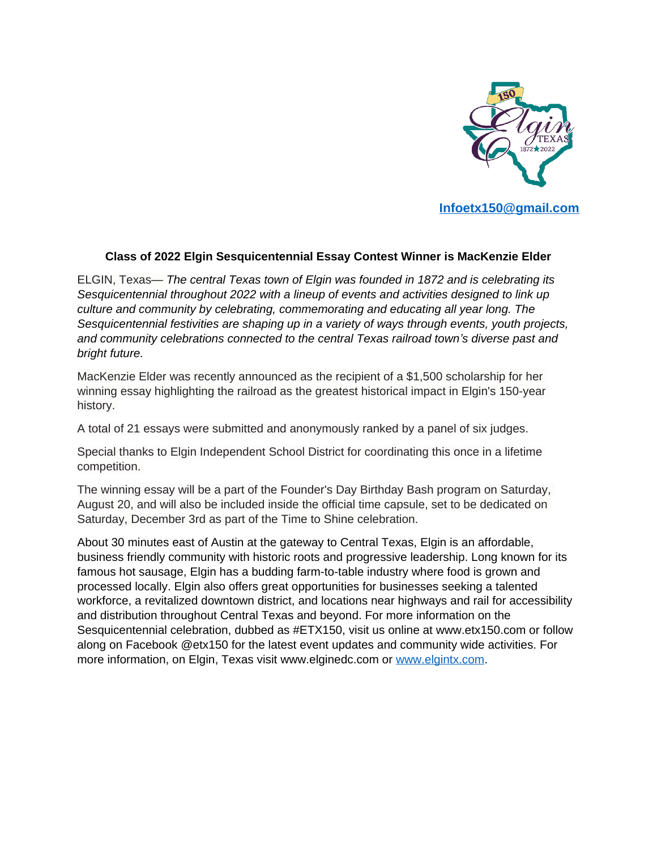

## **Class of 2022 Elgin Sesquicentennial Essay Contest Winner is MacKenzie Elder**

ELGIN, Texas— *The central Texas town of Elgin was founded in 1872 and is celebrating its Sesquicentennial throughout 2022 with a lineup of events and activities designed to link up culture and community by celebrating, commemorating and educating all year long. The Sesquicentennial festivities are shaping up in a variety of ways through events, youth projects, and community celebrations connected to the central Texas railroad town's diverse past and bright future.*

MacKenzie Elder was recently announced as the recipient of a \$1,500 scholarship for her winning essay highlighting the railroad as the greatest historical impact in Elgin's 150-year history.

A total of 21 essays were submitted and anonymously ranked by a panel of six judges.

Special thanks to Elgin Independent School District for coordinating this once in a lifetime competition.

The winning essay will be a part of the Founder's Day Birthday Bash program on Saturday, August 20, and will also be included inside the official time capsule, set to be dedicated on Saturday, December 3rd as part of the Time to Shine celebration.

About 30 minutes east of Austin at the gateway to Central Texas, Elgin is an affordable, business friendly community with historic roots and progressive leadership. Long known for its famous hot sausage, Elgin has a budding farm-to-table industry where food is grown and processed locally. Elgin also offers great opportunities for businesses seeking a talented workforce, a revitalized downtown district, and locations near highways and rail for accessibility and distribution throughout Central Texas and beyond. For more information on the Sesquicentennial celebration, dubbed as #ETX150, visit us online at www.etx150.com or follow along on Facebook @etx150 for the latest event updates and community wide activities. For more information, on Elgin, Texas visit www.elginedc.com or [www.elgintx.com.](http://www.elgintx.com)